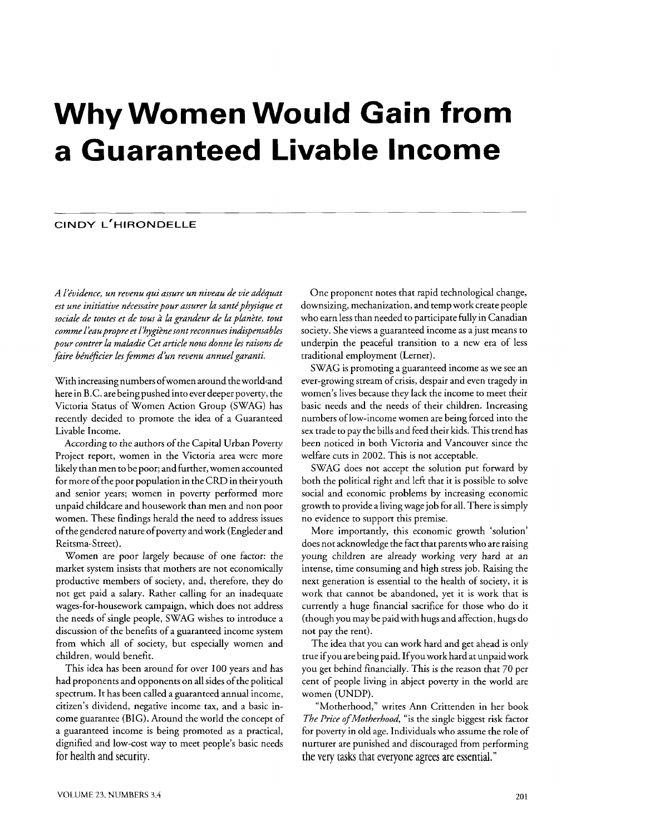# **Why Women Would Gain from a Guaranteed Livable Income**

# **CINDY L'HIRONDELLE**

*A l2vidence, un revenu qui assure un niveau de vie adkquat est une initiative nécessaire pour assurer la santé physique et sociale de toutes et de tous ri. h grandeur de* **la** *plankte, tout comme l'eaupropre et L'hygi2nesont reconnues indispensables pour contrer la maladie Cet article nous donne les raisons de*  faire bénéficier les femmes d'un revenu annuel garanti.

With increasing numbers of women around the world and here in B.C. are being pushed into ever deeper poverty, the Victoria Status of Women Action Group (SWAG) has recently decided to promote the idea of a Guaranteed Livable Income.

According to the authors of the Capital Urban Poverty Project report, women in the Victoria area were more likely than men to be poor; and further, women accounted for more of the poor population in the CRD in their youth and senior years; women in poverty performed more unpaid childcare and housework than men and non poor women. These findings herald the need to address issues of the gendered nature of poverty and work (Engleder and Reitsma-Street).

Women are poor largely because of one factor: the market system insists that mothers are not economically productive members of society, and, therefore, they do not get paid a salary. Rather calling for an inadequate wages-for-housework campaign, which does not address the needs of single people, SWAG wishes to introduce a discussion of the benefits of a guaranteed income system from which all of society, but especially women and children, would benefit.

This idea has been around for over 100 years and has had proponents and opponents on all sides of the political spectrum. It has been called a guaranteed annual income, citizen's dividend, negative income tax, and a basic income guarantee (BIG). Around the world the concept of a guaranteed income is being promoted as a practical, dignified and low-cost way to meet people's basic needs for health and security.

One proponent notes that rapid technological change, downsizing, mechanization, and temp work create people who earn less than needed to participate fully in Canadian society. She views a guaranteed income as a just means to underpin the peaceful transition to a new era of less traditional employment (Lerner).

SWAG is promoting a guaranteed income as we see an ever-growing stream of crisis, despair and even tragedy in women's lives because they lack the income to meet their basic needs and the needs of their children. Increasing numbers of low-income women are being forced into the sex trade to pay the bills and feed their kids. This trend has been noticed in both Victoria and Vancouver since the welfare cuts in 2002. This is not acceptable.

SWAG does not accept the solution put forward by both the political right and left that it is possible to solve social and economic problems by increasing economic growth to provide a living wage job for all. There is simply no evidence to support this premise.

More importantly, this economic growth 'solution' does not acknowledge the fact that parents who are raising young children are already working very hard at an intense, time consuming and high stress job. Raising the next generation is essential to the health of society, it is work that cannot be abandoned, yet it is work that is currently a huge financial sacrifice for those who do it (though you may be paid with hugs and affection, hugs do not pay the rent).

The idea that you can work hard and get ahead is only true ifyou are being paid. Ifyou work hard at unpaid work you get behind financially. This is the reason that 70 per cent of people living in abject poverty in the world are women (UNDP).

"Motherhood," writes Ann Crittenden in her book The Price of Motherhood, "is the single biggest risk factor for poverty in old age. Individuals who assume the role of nurturer are punished and discouraged from performing the very tasks that everyone agrees are essential."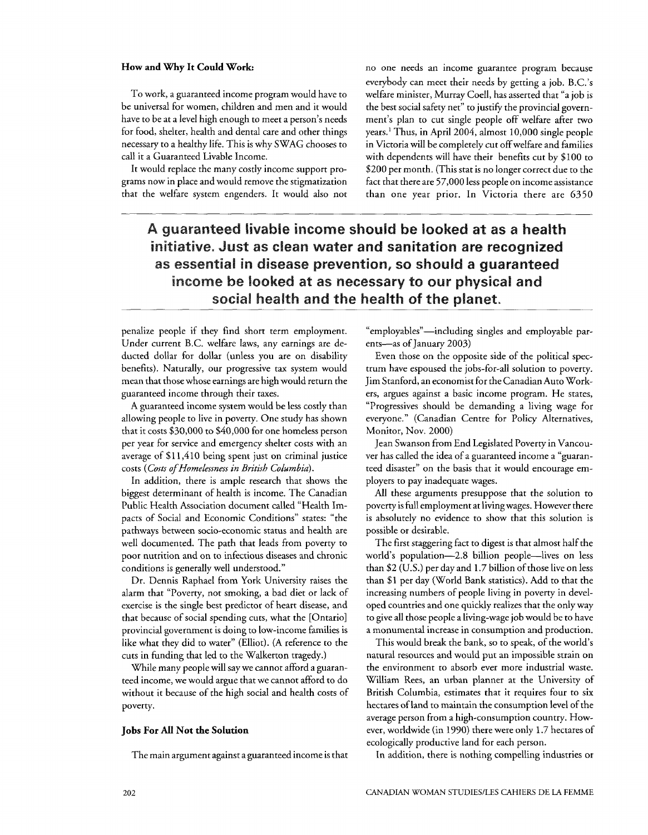To work, a guaranteed income program would have to be universal for women, children and men and it would have to be at a level high enough to meet a person's needs for food, shelter, health and dental care and other things necessary to a healthy life. This is why SWAG chooses to call it a Guaranteed Livable Income.

It would replace the many costly income support programs now in place and would remove the stigmatization that the welfare system engenders. It would also not

How and Why It Could Work: no one needs an income guarantee program because everybody can meet their needs by getting a job. B.C.'s welfare minister, Murray Coell, has asserted that "a job is the best social safety net" to justify the provincial government's plan to cut single people off welfare after two years.' Thus, in April 2004, almost 10,000 single people in Victoria will be completely cut off welfare and families with dependents will have their benefits cut by \$100 to \$200 per month. (This stat is no longer correct due to the fact that there are 57,000 less people on income assistance than one year prior. In Victoria there are 6350

# A guaranteed livable income should be looked at as a health **initiative. Just as cfean water and sanitation are recognized as essential in disease prevention, so should a guaranteed**  income be looked at as necessary to our physical and **social health and the health of the planet,**

penalize people if they find short term employment. Under current B.C. welfare laws, any earnings are deducted dollar for dollar (unless you are on disability benefits). Naturally, our progressive tax system would mean that those whose earnings are high would return the paranteed income through their taxes.

A guaranteed income system would be less costly than allowing people to live in poverty. One study has shown that it costs \$30,000 to \$40,000 for one homeless person per year for service and emergency shelter costs with an average of \$11,410 being spent just on criminal justice costs (Costs of Homelessness in British Columbia).

In addition, there is ample research that shows the biggest determinant of health is income. The Canadian Public Health Association document called "Health Impacts of Social and Economic Conditions" states: "the pathways between socio-economic status and health are well documented. The path that leads from poverty to poor nutrition and on to infectious diseases and chronic conditions is generally well understood."

Dr. Dennis Raphael from York University raises the alarm that "Poverty, not smoking, a bad diet or lack of exercise is the single best predictor of heart disease, and that because of social spending cuts, what the [Ontario] provincial government is doing to low-income families is like what they did to water" (Elliot). (A reference to the cuts in funding that led to the Walkerton tragedy.)

While many people will say we cannot afford a guaranteed income, we would argue that we cannot afford to do without it because of the high social and health costs of poverty.

## **Jobs For All Not the Solution**

The main argument against a guaranteed income is that

"emp1oyables"-including singles and employable parents-as of January 2003)

Even those on the opposite side of the political spectrum have espoused the jobs-for-all solution to poverty. Jim Stanford, an economist for the Canadian Auto Workers, argues against a basic income program. He states, "Progressives should be demanding a living wage for everyone." (Canadian Centre for Policy Alternatives, Monitor, Nov. 2000)

Jean Swanson from End Legislated Poverty in Vancouver has called the idea of a guaranteed income a "guaranteed disaster" on the basis that it would encourage employers to pay inadequate wages.

All these arguments presuppose that the solution to poverty is full employment at livingwages. However there is absolutely no evidence to show that this solution is possible or desirable.

The first staggering fact to digest is that almost half the world's population-2.8 billion people-lives on less than \$2 (U.S.) per day and 1.7 billion of those live on less than \$1 per day (World Bank statistics). Add to that the increasing numbers of people living in poverty in developed countries and one quickly realizes that the only way to give all those people a living-wage job would be to have a monumental increase in consumption and production.

This would break the bank, so to speak, of the world's natural resources and would put an impossible strain on the environment to absorb ever more industrial waste. William Rees, an urban planner at the University of British Columbia, estimates that it requires four to six hectares of land to maintain the consumption level of the average person from a high-consumption country. However, worldwide (in 1990) there were only 1.7 hectares of ecologically productive land for each person.

In addition, there is nothing compelling industries or